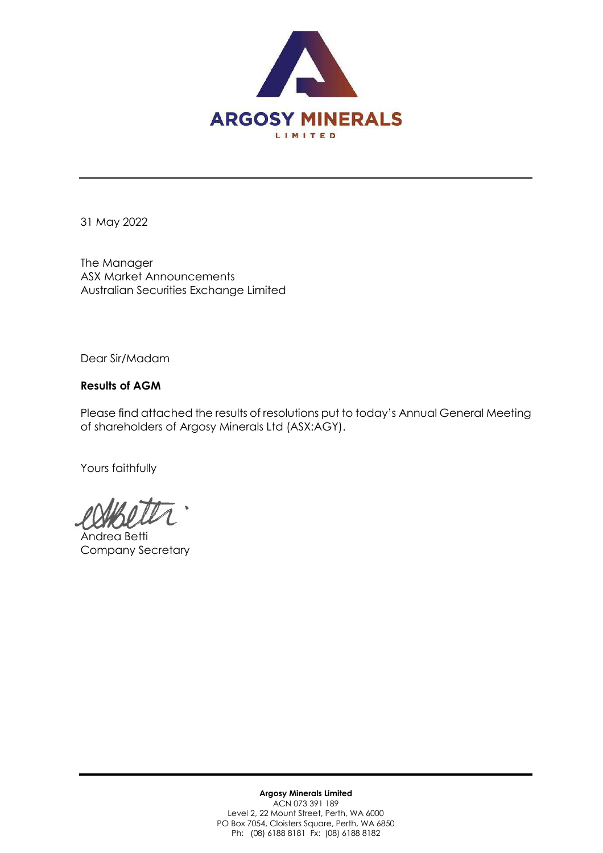

31 May 2022

The Manager ASX Market Announcements Australian Securities Exchange Limited

Dear Sir/Madam

## **Results of AGM**

Please find attached the results of resolutions put to today's Annual General Meeting of shareholders of Argosy Minerals Ltd (ASX:AGY).

Yours faithfully

Andrea Betti Company Secretary